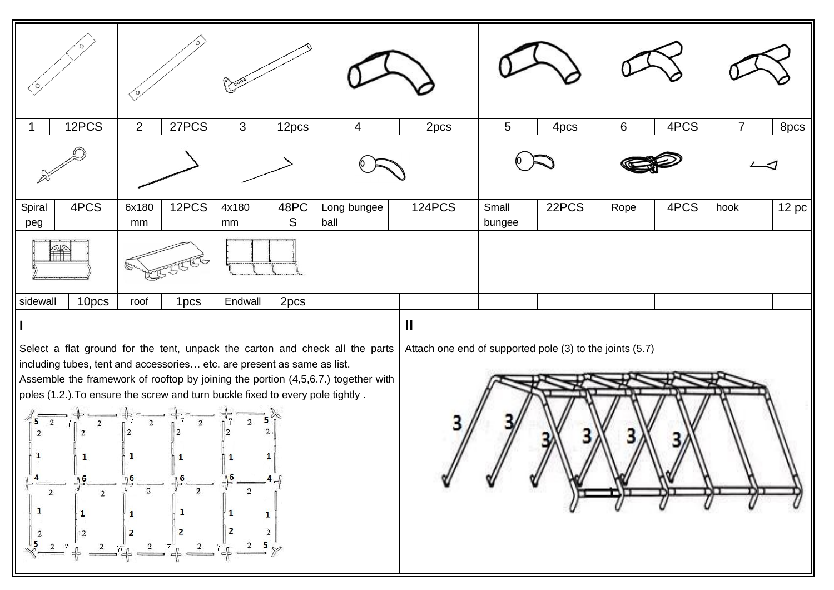|               | 12PCS | 2            | 27PCS | $\mathbf{3}$                                                                                      | 12pcs     | 4                   | 2pcs          | 5               | 4pcs  | $6\phantom{1}$ | 4PCS | $\overline{7}$ | 8pcs              |  |
|---------------|-------|--------------|-------|---------------------------------------------------------------------------------------------------|-----------|---------------------|---------------|-----------------|-------|----------------|------|----------------|-------------------|--|
|               |       |              |       |                                                                                                   |           |                     |               |                 |       |                |      |                |                   |  |
| Spiral<br>peg | 4PCS  | 6x180<br>mm  | 12PCS | 4x180<br>mm                                                                                       | 48PC<br>S | Long bungee<br>ball | <b>124PCS</b> | Small<br>bungee | 22PCS | Rope           | 4PCS | hook           | 12 pc $\parallel$ |  |
| Ñ             |       | $\mathbb{Z}$ |       | $\frac{1}{2}$ $\frac{1}{2}$ $\frac{1}{2}$ $\frac{1}{2}$ $\frac{1}{2}$ $\frac{1}{2}$ $\frac{1}{2}$ |           |                     |               |                 |       |                |      |                |                   |  |
| sidewall      | 10pcs | roof         | 1pcs  | Endwall                                                                                           | 2pcs      |                     |               |                 |       |                |      |                |                   |  |
| $\mathbf{I}$  |       |              |       |                                                                                                   |           |                     |               | $\mathbf{I}$    |       |                |      |                |                   |  |

Select a flat ground for the tent, unpack the carton and check all the parts including tubes, tent and accessories… etc. are present as same as list.

Assemble the framework of rooftop by joining the portion (4,5,6.7.) together with poles (1.2.).To ensure the screw and turn buckle fixed to every pole tightly .





Attach one end of supported pole (3) to the joints (5.7)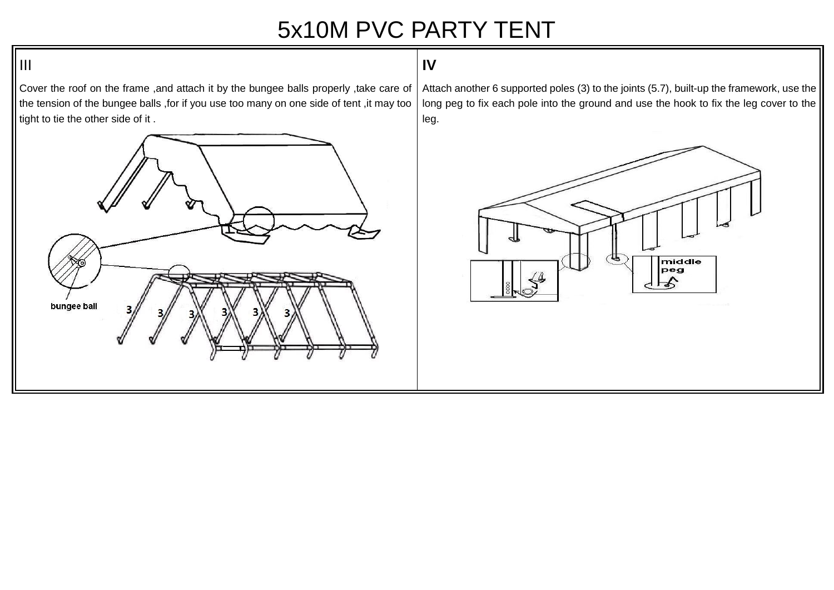## 5x10M PVC PARTY TENT

## **IV**

Cover the roof on the frame ,and attach it by the bungee balls properly ,take care of the tension of the bungee balls ,for if you use too many on one side of tent ,it may too tight to tie the other side of it .



Attach another 6 supported poles (3) to the joints (5.7), built-up the framework, use the long peg to fix each pole into the ground and use the hook to fix the leg cover to the leg.



## $\|$ III